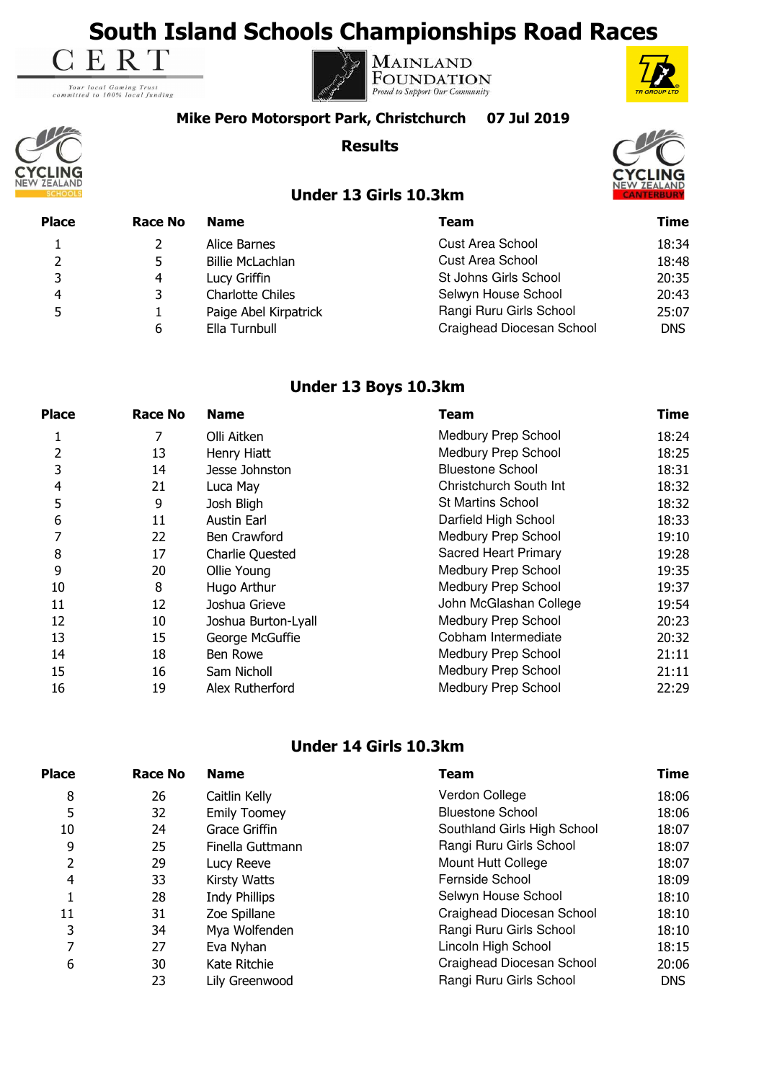# **South Island Schools Championships Road Races**<br> **E R T**

Your local Gaming Trust<br>committed to 100% local funding





#### **Mike Pero Motorsport Park, Christchurch 07 Jul 2019**

**Results**



 $\overline{C}$ 

## **Under 13 Girls 10.3km**

| CLING |  |
|-------|--|

| <b>Place</b> | <b>Race No</b> | <b>Name</b>             | Team                      | Time       |
|--------------|----------------|-------------------------|---------------------------|------------|
|              |                | Alice Barnes            | <b>Cust Area School</b>   | 18:34      |
|              |                | <b>Billie McLachlan</b> | <b>Cust Area School</b>   | 18:48      |
| ₹            | 4              | Lucy Griffin            | St Johns Girls School     | 20:35      |
| 4            | 3              | <b>Charlotte Chiles</b> | Selwyn House School       | 20:43      |
|              |                | Paige Abel Kirpatrick   | Rangi Ruru Girls School   | 25:07      |
|              | 6              | Ella Turnbull           | Craighead Diocesan School | <b>DNS</b> |

## **Under 13 Boys 10.3km**

| <b>Place</b> | <b>Race No</b> | <b>Name</b>            | Team                        | <b>Time</b> |
|--------------|----------------|------------------------|-----------------------------|-------------|
|              |                | Olli Aitken            | <b>Medbury Prep School</b>  | 18:24       |
| 2            | 13             | Henry Hiatt            | Medbury Prep School         | 18:25       |
| 3            | 14             | Jesse Johnston         | <b>Bluestone School</b>     | 18:31       |
| 4            | 21             | Luca May               | Christchurch South Int      | 18:32       |
| 5            | 9              | Josh Bligh             | <b>St Martins School</b>    | 18:32       |
| 6            | 11             | Austin Earl            | Darfield High School        | 18:33       |
| 7            | 22             | Ben Crawford           | Medbury Prep School         | 19:10       |
| 8            | 17             | <b>Charlie Quested</b> | <b>Sacred Heart Primary</b> | 19:28       |
| 9            | 20             | Ollie Young            | <b>Medbury Prep School</b>  | 19:35       |
| 10           | 8              | Hugo Arthur            | Medbury Prep School         | 19:37       |
| 11           | 12             | Joshua Grieve          | John McGlashan College      | 19:54       |
| 12           | 10             | Joshua Burton-Lyall    | Medbury Prep School         | 20:23       |
| 13           | 15             | George McGuffie        | Cobham Intermediate         | 20:32       |
| 14           | 18             | Ben Rowe               | Medbury Prep School         | 21:11       |
| 15           | 16             | Sam Nicholl            | Medbury Prep School         | 21:11       |
| 16           | 19             | Alex Rutherford        | Medbury Prep School         | 22:29       |

### **Under 14 Girls 10.3km**

| <b>Place</b> | Race No | <b>Name</b>          | <b>Team</b>                 | <b>Time</b> |
|--------------|---------|----------------------|-----------------------------|-------------|
| 8            | 26      | Caitlin Kelly        | Verdon College              | 18:06       |
| 5            | 32      | <b>Emily Toomey</b>  | <b>Bluestone School</b>     | 18:06       |
| 10           | 24      | Grace Griffin        | Southland Girls High School | 18:07       |
| 9            | 25      | Finella Guttmann     | Rangi Ruru Girls School     | 18:07       |
| 2            | 29      | Lucy Reeve           | Mount Hutt College          | 18:07       |
| 4            | 33      | Kirsty Watts         | Fernside School             | 18:09       |
|              | 28      | <b>Indy Phillips</b> | Selwyn House School         | 18:10       |
| 11           | 31      | Zoe Spillane         | Craighead Diocesan School   | 18:10       |
| 3            | 34      | Mya Wolfenden        | Rangi Ruru Girls School     | 18:10       |
| 7            | 27      | Eva Nyhan            | Lincoln High School         | 18:15       |
| 6            | 30      | Kate Ritchie         | Craighead Diocesan School   | 20:06       |
|              | 23      | Lily Greenwood       | Rangi Ruru Girls School     | <b>DNS</b>  |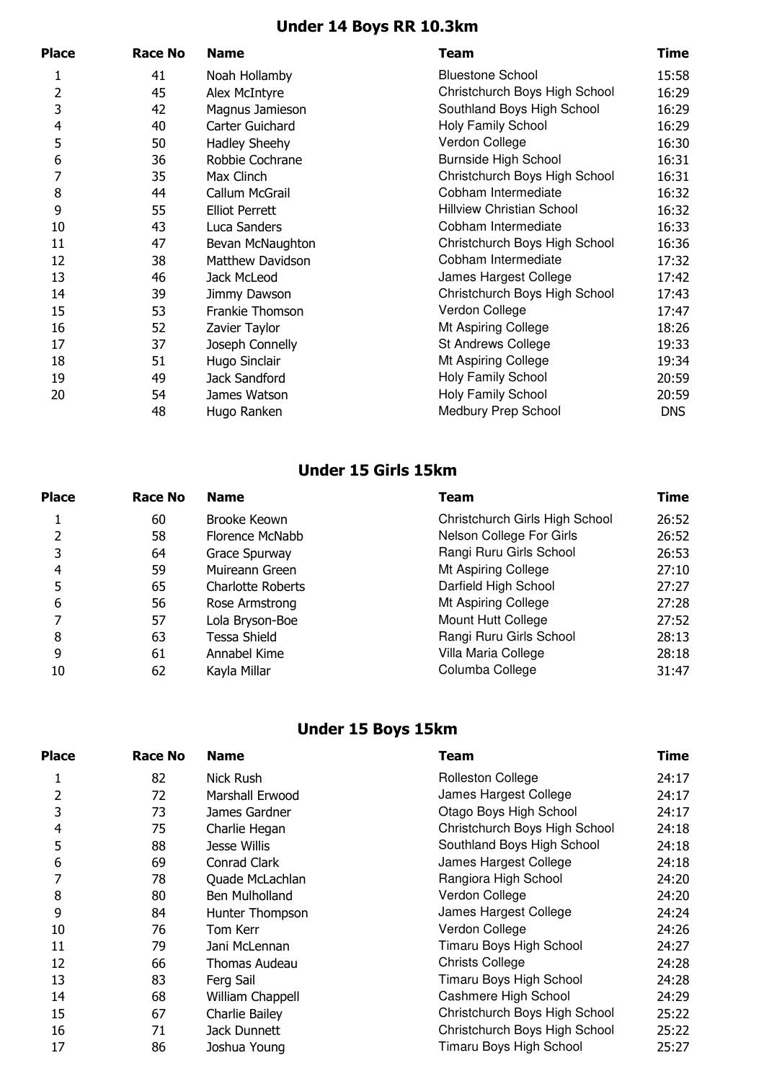# **Under 14 Boys RR 10.3km**

| <b>Place</b>   | <b>Race No</b> | <b>Name</b>             | <b>Team</b>                      | Time       |
|----------------|----------------|-------------------------|----------------------------------|------------|
|                | 41             | Noah Hollamby           | <b>Bluestone School</b>          | 15:58      |
| 2              | 45             | Alex McIntyre           | Christchurch Boys High School    | 16:29      |
| 3              | 42             | Magnus Jamieson         | Southland Boys High School       | 16:29      |
| $\overline{4}$ | 40             | Carter Guichard         | Holy Family School               | 16:29      |
| 5              | 50             | Hadley Sheehy           | Verdon College                   | 16:30      |
| 6              | 36             | Robbie Cochrane         | Burnside High School             | 16:31      |
|                | 35             | Max Clinch              | Christchurch Boys High School    | 16:31      |
| 8              | 44             | Callum McGrail          | Cobham Intermediate              | 16:32      |
| 9              | 55             | <b>Elliot Perrett</b>   | <b>Hillview Christian School</b> | 16:32      |
| 10             | 43             | Luca Sanders            | Cobham Intermediate              | 16:33      |
| 11             | 47             | Bevan McNaughton        | Christchurch Boys High School    | 16:36      |
| 12             | 38             | <b>Matthew Davidson</b> | Cobham Intermediate              | 17:32      |
| 13             | 46             | Jack McLeod             | James Hargest College            | 17:42      |
| 14             | 39             | Jimmy Dawson            | Christchurch Boys High School    | 17:43      |
| 15             | 53             | Frankie Thomson         | Verdon College                   | 17:47      |
| 16             | 52             | Zavier Taylor           | Mt Aspiring College              | 18:26      |
| 17             | 37             | Joseph Connelly         | St Andrews College               | 19:33      |
| 18             | 51             | Hugo Sinclair           | Mt Aspiring College              | 19:34      |
| 19             | 49             | Jack Sandford           | Holy Family School               | 20:59      |
| 20             | 54             | James Watson            | Holy Family School               | 20:59      |
|                | 48             | Hugo Ranken             | Medbury Prep School              | <b>DNS</b> |
|                |                |                         |                                  |            |

## **Under 15 Girls 15km**

| <b>Place</b> | Race No | <b>Name</b>              | Team                           | Time  |
|--------------|---------|--------------------------|--------------------------------|-------|
|              | 60      | Brooke Keown             | Christchurch Girls High School | 26:52 |
|              | 58      | Florence McNabb          | Nelson College For Girls       | 26:52 |
|              | 64      | Grace Spurway            | Rangi Ruru Girls School        | 26:53 |
| 4            | 59      | Muireann Green           | Mt Aspiring College            | 27:10 |
|              | 65      | <b>Charlotte Roberts</b> | Darfield High School           | 27:27 |
| 6            | 56      | Rose Armstrong           | Mt Aspiring College            | 27:28 |
|              | 57      | Lola Bryson-Boe          | Mount Hutt College             | 27:52 |
| 8            | 63      | Tessa Shield             | Rangi Ruru Girls School        | 28:13 |
| 9            | 61      | Annabel Kime             | Villa Maria College            | 28:18 |
| 10           | 62      | Kayla Millar             | Columba College                | 31:47 |
|              |         |                          |                                |       |

# **Under 15 Boys 15km**

| <b>Place</b> | <b>Race No</b> | <b>Name</b>      | Team                          | <b>Time</b> |
|--------------|----------------|------------------|-------------------------------|-------------|
|              | 82             | Nick Rush        | <b>Rolleston College</b>      | 24:17       |
| 2            | 72             | Marshall Erwood  | James Hargest College         | 24:17       |
| 3            | 73             | James Gardner    | Otago Boys High School        | 24:17       |
| 4            | 75             | Charlie Hegan    | Christchurch Boys High School | 24:18       |
| 5            | 88             | Jesse Willis     | Southland Boys High School    | 24:18       |
| 6            | 69             | Conrad Clark     | James Hargest College         | 24:18       |
|              | 78             | Quade McLachlan  | Rangiora High School          | 24:20       |
| 8            | 80             | Ben Mulholland   | Verdon College                | 24:20       |
| 9            | 84             | Hunter Thompson  | James Hargest College         | 24:24       |
| 10           | 76             | Tom Kerr         | Verdon College                | 24:26       |
| 11           | 79             | Jani McLennan    | Timaru Boys High School       | 24:27       |
| 12           | 66             | Thomas Audeau    | <b>Christs College</b>        | 24:28       |
| 13           | 83             | Ferg Sail        | Timaru Boys High School       | 24:28       |
| 14           | 68             | William Chappell | Cashmere High School          | 24:29       |
| 15           | 67             | Charlie Bailey   | Christchurch Boys High School | 25:22       |
| 16           | 71             | Jack Dunnett     | Christchurch Boys High School | 25:22       |
| 17           | 86             | Joshua Young     | Timaru Boys High School       | 25:27       |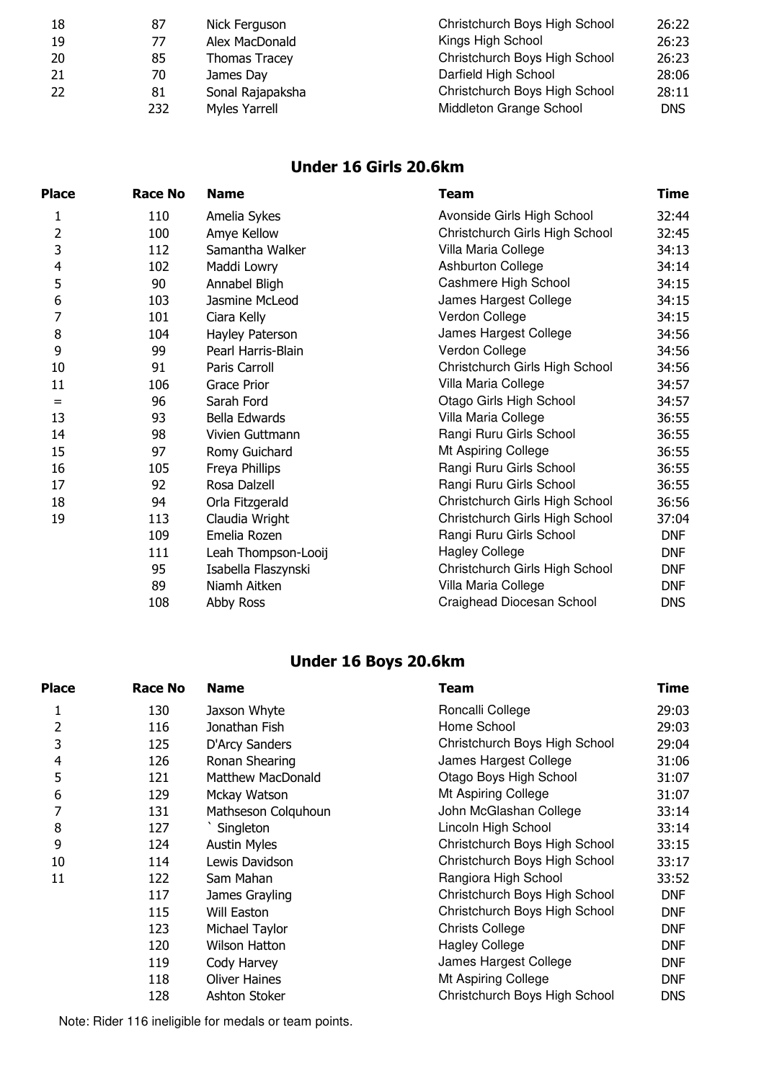| 18 | 87  | Nick Ferguson        | Christchurch Boys High School | 26:22 |
|----|-----|----------------------|-------------------------------|-------|
| 19 | 77  | Alex MacDonald       | Kings High School             | 26:23 |
| 20 | 85  | <b>Thomas Tracey</b> | Christchurch Boys High School | 26:23 |
| 21 | 70  | James Day            | Darfield High School          | 28:06 |
| 22 | 81  | Sonal Rajapaksha     | Christchurch Boys High School | 28:11 |
|    | 232 | Myles Yarrell        | Middleton Grange School       | DNS.  |

## **Under 16 Girls 20.6km**

| <b>Race No</b> | <b>Name</b>         | <b>Team</b>                    | <b>Time</b> |
|----------------|---------------------|--------------------------------|-------------|
| 110            | Amelia Sykes        | Avonside Girls High School     | 32:44       |
| 100            | Amye Kellow         | Christchurch Girls High School | 32:45       |
| 112            | Samantha Walker     | Villa Maria College            | 34:13       |
| 102            | Maddi Lowry         | Ashburton College              | 34:14       |
| 90             | Annabel Bligh       | Cashmere High School           | 34:15       |
| 103            | Jasmine McLeod      | James Hargest College          | 34:15       |
| 101            | Ciara Kelly         | Verdon College                 | 34:15       |
| 104            | Hayley Paterson     | James Hargest College          | 34:56       |
| 99             | Pearl Harris-Blain  | Verdon College                 | 34:56       |
| 91             | Paris Carroll       | Christchurch Girls High School | 34:56       |
| 106            | <b>Grace Prior</b>  | Villa Maria College            | 34:57       |
| 96             | Sarah Ford          | Otago Girls High School        | 34:57       |
| 93             | Bella Edwards       | Villa Maria College            | 36:55       |
| 98             | Vivien Guttmann     | Rangi Ruru Girls School        | 36:55       |
| 97             | Romy Guichard       | Mt Aspiring College            | 36:55       |
| 105            | Freya Phillips      | Rangi Ruru Girls School        | 36:55       |
| 92             | Rosa Dalzell        | Rangi Ruru Girls School        | 36:55       |
| 94             | Orla Fitzgerald     | Christchurch Girls High School | 36:56       |
| 113            | Claudia Wright      | Christchurch Girls High School | 37:04       |
| 109            | Emelia Rozen        | Rangi Ruru Girls School        | <b>DNF</b>  |
| 111            | Leah Thompson-Looij | <b>Hagley College</b>          | <b>DNF</b>  |
| 95             | Isabella Flaszynski | Christchurch Girls High School | <b>DNF</b>  |
| 89             | Niamh Aitken        | Villa Maria College            | <b>DNF</b>  |
| 108            | Abby Ross           | Craighead Diocesan School      | <b>DNS</b>  |
|                |                     |                                |             |

# **Under 16 Boys 20.6km**

| <b>Place</b> | <b>Race No</b> | <b>Name</b>              | <b>Team</b>                   | <b>Time</b> |
|--------------|----------------|--------------------------|-------------------------------|-------------|
| 1            | 130            | Jaxson Whyte             | Roncalli College              | 29:03       |
| 2            | 116            | Jonathan Fish            | Home School                   | 29:03       |
| 3            | 125            | D'Arcy Sanders           | Christchurch Boys High School | 29:04       |
| 4            | 126            | Ronan Shearing           | James Hargest College         | 31:06       |
| 5            | 121            | <b>Matthew MacDonald</b> | Otago Boys High School        | 31:07       |
| 6            | 129            | Mckay Watson             | Mt Aspiring College           | 31:07       |
|              | 131            | Mathseson Colguhoun      | John McGlashan College        | 33:14       |
| 8            | 127            | Singleton                | Lincoln High School           | 33:14       |
| 9            | 124            | <b>Austin Myles</b>      | Christchurch Boys High School | 33:15       |
| 10           | 114            | Lewis Davidson           | Christchurch Boys High School | 33:17       |
| 11           | 122            | Sam Mahan                | Rangiora High School          | 33:52       |
|              | 117            | James Grayling           | Christchurch Boys High School | <b>DNF</b>  |
|              | 115            | Will Easton              | Christchurch Boys High School | <b>DNF</b>  |
|              | 123            | Michael Taylor           | <b>Christs College</b>        | <b>DNF</b>  |
|              | 120            | Wilson Hatton            | <b>Hagley College</b>         | <b>DNF</b>  |
|              | 119            | Cody Harvey              | James Hargest College         | <b>DNF</b>  |
|              | 118            | <b>Oliver Haines</b>     | Mt Aspiring College           | <b>DNF</b>  |
|              | 128            | Ashton Stoker            | Christchurch Boys High School | <b>DNS</b>  |
|              |                |                          |                               |             |

Note: Rider 116 ineligible for medals or team points.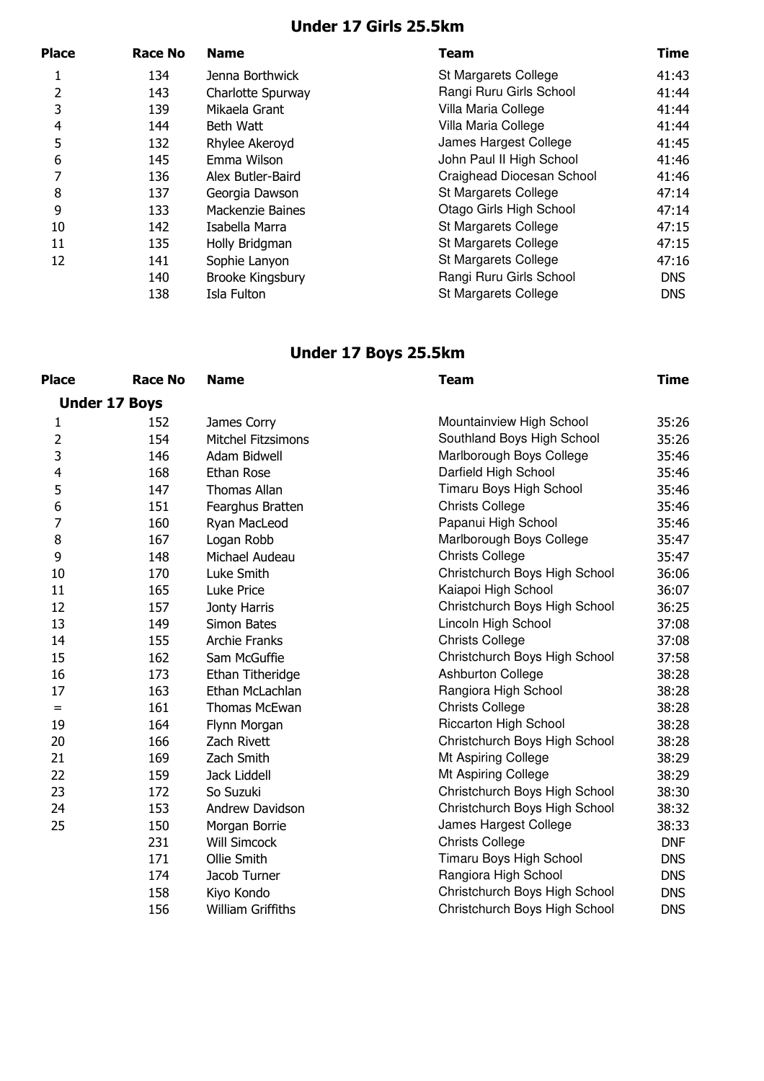## **Under 17 Girls 25.5km**

| <b>Place</b>  | <b>Race No</b> | <b>Name</b>             | Team                      | <b>Time</b> |
|---------------|----------------|-------------------------|---------------------------|-------------|
|               | 134            | Jenna Borthwick         | St Margarets College      | 41:43       |
| $\mathcal{P}$ | 143            | Charlotte Spurway       | Rangi Ruru Girls School   | 41:44       |
| 3             | 139            | Mikaela Grant           | Villa Maria College       | 41:44       |
| 4             | 144            | Beth Watt               | Villa Maria College       | 41:44       |
| 5             | 132            | Rhylee Akeroyd          | James Hargest College     | 41:45       |
| 6             | 145            | Emma Wilson             | John Paul II High School  | 41:46       |
|               | 136            | Alex Butler-Baird       | Craighead Diocesan School | 41:46       |
| 8             | 137            | Georgia Dawson          | St Margarets College      | 47:14       |
| 9             | 133            | Mackenzie Baines        | Otago Girls High School   | 47:14       |
| 10            | 142            | Isabella Marra          | St Margarets College      | 47:15       |
| 11            | 135            | Holly Bridgman          | St Margarets College      | 47:15       |
| 12            | 141            | Sophie Lanyon           | St Margarets College      | 47:16       |
|               | 140            | <b>Brooke Kingsbury</b> | Rangi Ruru Girls School   | DNS         |
|               | 138            | Isla Fulton             | St Margarets College      | <b>DNS</b>  |

## **Under 17 Boys 25.5km**

| <b>Place</b>   | <b>Race No</b>       | <b>Name</b>               | <b>Team</b>                   | <b>Time</b> |
|----------------|----------------------|---------------------------|-------------------------------|-------------|
|                | <b>Under 17 Boys</b> |                           |                               |             |
| 1              | 152                  | James Corry               | Mountainview High School      | 35:26       |
| $\overline{c}$ | 154                  | <b>Mitchel Fitzsimons</b> | Southland Boys High School    | 35:26       |
| 3              | 146                  | Adam Bidwell              | Marlborough Boys College      | 35:46       |
| $\overline{4}$ | 168                  | Ethan Rose                | Darfield High School          | 35:46       |
| 5              | 147                  | <b>Thomas Allan</b>       | Timaru Boys High School       | 35:46       |
| 6              | 151                  | Fearghus Bratten          | <b>Christs College</b>        | 35:46       |
| $\overline{7}$ | 160                  | Ryan MacLeod              | Papanui High School           | 35:46       |
| 8              | 167                  | Logan Robb                | Marlborough Boys College      | 35:47       |
| 9              | 148                  | Michael Audeau            | <b>Christs College</b>        | 35:47       |
| 10             | 170                  | Luke Smith                | Christchurch Boys High School | 36:06       |
| 11             | 165                  | Luke Price                | Kaiapoi High School           | 36:07       |
| 12             | 157                  | Jonty Harris              | Christchurch Boys High School | 36:25       |
| 13             | 149                  | Simon Bates               | Lincoln High School           | 37:08       |
| 14             | 155                  | <b>Archie Franks</b>      | <b>Christs College</b>        | 37:08       |
| 15             | 162                  | Sam McGuffie              | Christchurch Boys High School | 37:58       |
| 16             | 173                  | Ethan Titheridge          | <b>Ashburton College</b>      | 38:28       |
| 17             | 163                  | Ethan McLachlan           | Rangiora High School          | 38:28       |
| $=$            | 161                  | <b>Thomas McEwan</b>      | <b>Christs College</b>        | 38:28       |
| 19             | 164                  | Flynn Morgan              | Riccarton High School         | 38:28       |
| 20             | 166                  | Zach Rivett               | Christchurch Boys High School | 38:28       |
| 21             | 169                  | Zach Smith                | Mt Aspiring College           | 38:29       |
| 22             | 159                  | Jack Liddell              | Mt Aspiring College           | 38:29       |
| 23             | 172                  | So Suzuki                 | Christchurch Boys High School | 38:30       |
| 24             | 153                  | Andrew Davidson           | Christchurch Boys High School | 38:32       |
| 25             | 150                  | Morgan Borrie             | James Hargest College         | 38:33       |
|                | 231                  | <b>Will Simcock</b>       | <b>Christs College</b>        | <b>DNF</b>  |
|                | 171                  | Ollie Smith               | Timaru Boys High School       | <b>DNS</b>  |
|                | 174                  | Jacob Turner              | Rangiora High School          | <b>DNS</b>  |
|                | 158                  | Kiyo Kondo                | Christchurch Boys High School | <b>DNS</b>  |
|                | 156                  | <b>William Griffiths</b>  | Christchurch Boys High School | <b>DNS</b>  |